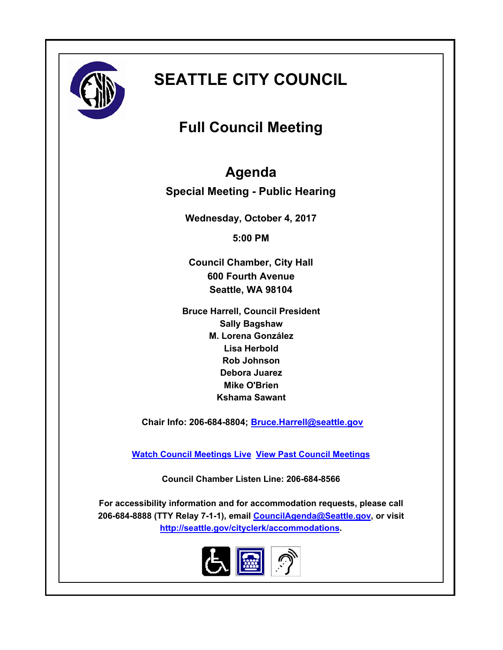

# **SEATTLE CITY COUNCIL**

# **Full Council Meeting**

## **Agenda**

**Special Meeting - Public Hearing**

**Wednesday, October 4, 2017**

**5:00 PM**

**Council Chamber, City Hall 600 Fourth Avenue Seattle, WA 98104**

**Bruce Harrell, Council President Sally Bagshaw M. Lorena González Lisa Herbold Rob Johnson Debora Juarez Mike O'Brien Kshama Sawant**

 **Chair Info: 206-684-8804; [Bruce.Harrell@seattle.gov](mailto:Bruce.Harrell@seattle.gov)**

**[Watch Council Meetings Live](http://www.seattle.gov/council/councillive.htm) [View Past Council Meetings](http://www.seattlechannel.org/videos/browseVideos.asp?topic=council)**

**Council Chamber Listen Line: 206-684-8566**

**For accessibility information and for accommodation requests, please call 206-684-8888 (TTY Relay 7-1-1), email [CouncilAgenda@Seattle.gov](mailto: Council.Agenda@Seattle.gov), or visit <http://seattle.gov/cityclerk/accommodations>.**

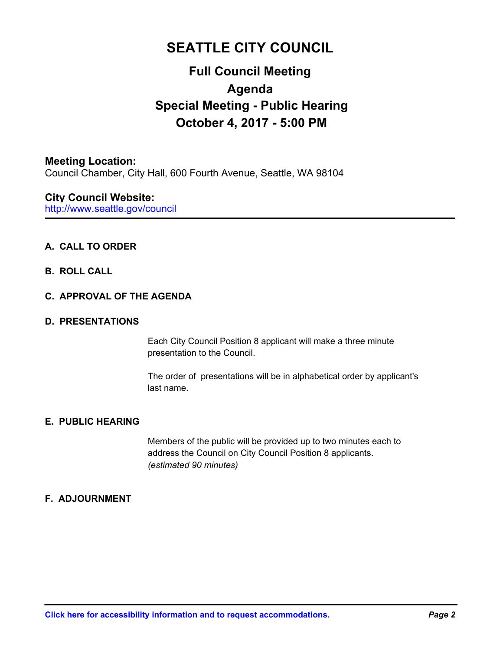### **SEATTLE CITY COUNCIL**

### **Full Council Meeting Agenda Special Meeting - Public Hearing October 4, 2017 - 5:00 PM**

#### **Meeting Location:**

Council Chamber, City Hall, 600 Fourth Avenue, Seattle, WA 98104

### **City Council Website:**

http://www.seattle.gov/council

#### **A. CALL TO ORDER**

#### **B. ROLL CALL**

#### **C. APPROVAL OF THE AGENDA**

#### **D. PRESENTATIONS**

Each City Council Position 8 applicant will make a three minute presentation to the Council.

The order of presentations will be in alphabetical order by applicant's last name.

#### **E. PUBLIC HEARING**

Members of the public will be provided up to two minutes each to address the Council on City Council Position 8 applicants. *(estimated 90 minutes)*

#### **F. ADJOURNMENT**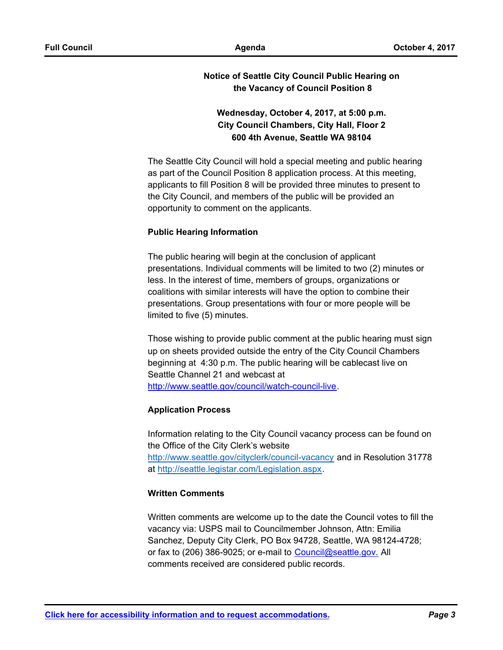#### **Notice of Seattle City Council Public Hearing on the Vacancy of Council Position 8**

### **Wednesday, October 4, 2017, at 5:00 p.m. City Council Chambers, City Hall, Floor 2 600 4th Avenue, Seattle WA 98104**

The Seattle City Council will hold a special meeting and public hearing as part of the Council Position 8 application process. At this meeting, applicants to fill Position 8 will be provided three minutes to present to the City Council, and members of the public will be provided an opportunity to comment on the applicants.

#### **Public Hearing Information**

The public hearing will begin at the conclusion of applicant presentations. Individual comments will be limited to two (2) minutes or less. In the interest of time, members of groups, organizations or coalitions with similar interests will have the option to combine their presentations. Group presentations with four or more people will be limited to five (5) minutes.

Those wishing to provide public comment at the public hearing must sign up on sheets provided outside the entry of the City Council Chambers beginning at 4:30 p.m. The public hearing will be cablecast live on Seattle Channel 21 and webcast at http://www.seattle.gov/council/watch-council-live.

#### **Application Process**

Information relating to the City Council vacancy process can be found on the Office of the City Clerk's website http://www.seattle.gov/cityclerk/council-vacancy and in Resolution 31778 at http://seattle.legistar.com/Legislation.aspx.

#### **Written Comments**

Written comments are welcome up to the date the Council votes to fill the vacancy via: USPS mail to Councilmember Johnson, Attn: Emilia Sanchez, Deputy City Clerk, PO Box 94728, Seattle, WA 98124-4728; or fax to (206) 386-9025; or e-mail to Council@seattle.gov. All comments received are considered public records.